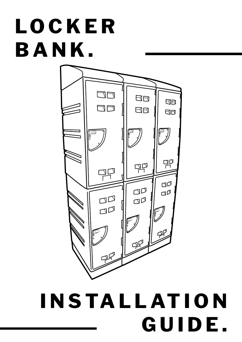# **L O C K E R BANK.**



## **I N S TA L L AT I O N GUIDE.**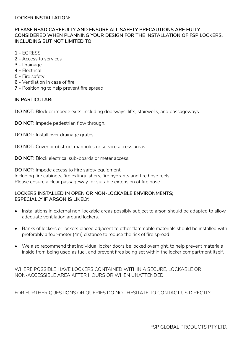#### **LOCKER INSTALLATION:**

#### **PLEASE READ CAREFULLY AND ENSURE ALL SAFETY PRECAUTIONS ARE FULLY CONSIDERED WHEN PLANNING YOUR DESIGN FOR THE INSTALLATION OF FSP LOCKERS, INCLUDING BUT NOT LIMITED TO:**

- **1** EGRESS
- **2** Access to services
- **3** Drainage
- **4** Electrical
- **5** Fire safety
- **6** Ventilation in case of fire
- **7** Positioning to help prevent fire spread

#### **IN PARTICULAR:**

**DO NOT:** Block or impede exits, including doorways, lifts, stairwells, and passageways.

**DO NOT:** Impede pedestrian flow through.

**DO NOT:** Install over drainage grates.

**DO NOT:** Cover or obstruct manholes or service access areas.

**DO NOT:** Block electrical sub-boards or meter access.

**DO NOT:** Impede access to Fire safety equipment. Including fire cabinets, fire extinguishers, fire hydrants and fire hose reels. Please ensure a clear passageway for suitable extension of fire hose.

#### **LOCKERS INSTALLED IN OPEN OR NON-LOCKABLE ENVIRONMENTS; ESPECIALLY IF ARSON IS LIKELY:**

- Installations in external non-lockable areas possibly subject to arson should be adapted to allow adequate ventilation around lockers.
- Banks of lockers or lockers placed adjacent to other flammable materials should be installed with preferably a four-meter (4m) distance to reduce the risk of fire spread
- We also recommend that individual locker doors be locked overnight, to help prevent materials inside from being used as fuel, and prevent fires being set within the locker compartment itself.

WHERE POSSIBLE HAVE LOCKERS CONTAINED WITHIN A SECURE, LOCKABLE OR NON-ACCESSIBLE AREA AFTER HOURS OR WHEN UNATTENDED.

FOR FURTHER QUESTIONS OR QUERIES DO NOT HESITATE TO CONTACT US DIRECTLY.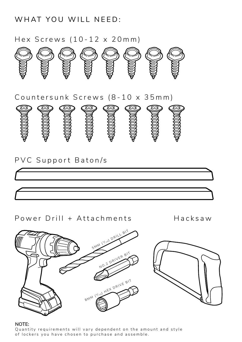WHAT YOU WILL NEED:

Hex Screws (10-12 x 20mm)





## PVC Support Baton/s



## Power Drill + Attachments Hacksaw



#### **NOTE:**

Quantity requirements will vary dependent on the amount and style of lockers you have chosen to purchase and assemble.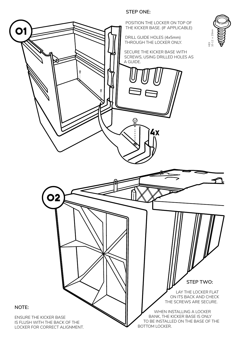#### **STEP ONE:**

POSITION THE LOCKER ON TOP OF THE KICKER BASE. (IF APPLICABLE)

DRILL GUIDE HOLES (4x5mm) THROUGH THE LOCKER ONLY.

SECURE THE KICKER BASE WITH SCREWS, USING DRILLED HOLES AS A GUIDE.

HEX<br> $10-12$  x 10-12 x 20mm



**NOTE:**

01

ENSURE THE KICKER BASE IS FLUSH WITH THE BACK OF THE LOCKER FOR CORRECT ALIGNMENT.

02

WHEN INSTALLING A LOCKER BANK, THE KICKER BASE IS ONLY TO BE INSTALLED ON THE BASE OF THE BOTTOM LOCKER.

ON ITS BACK AND CHECK THE SCREWS ARE SECURE.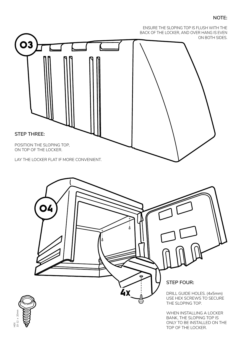#### **NOTE:**



BANK, THE SLOPING TOP IS ONLY TO BE INSTALLED ON THE TOP OF THE LOCKER.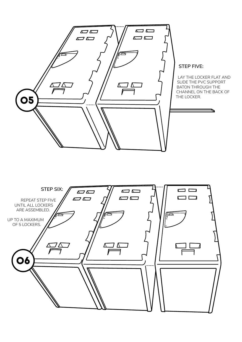

#### **STEP FIVE:**

LAY THE LOCKER FLAT AND SLIDE THE PVC SUPPORT BATON THROUGH THE CHANNEL ON THE BACK OF THE LOCKER.

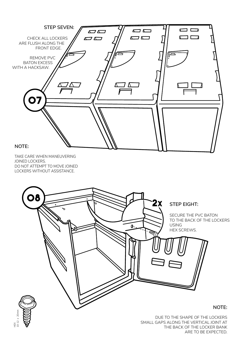



DUE TO THE SHAPE OF THE LOCKERS SMALL GAPS ALONG THE VERTICAL JOINT AT THE BACK OF THE LOCKER BANK ARE TO BE EXPECTED.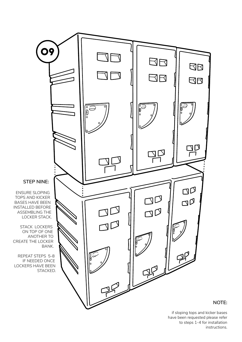

if sloping tops and kicker bases have been requested please refer to steps 1-4 for installation instructions.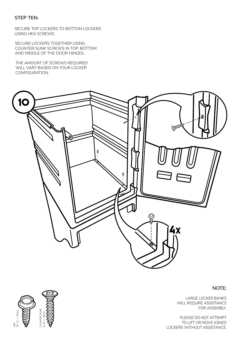#### **STEP TEN:**

SECURE TOP LOCKERS TO BOTTOM LOCKERS USING HEX SCREWS.

SECURE LOCKERS TOGETHER USING COUNTER SUNK SCREWS IN TOP, BOTTOM AND MIDDLE OF THE DOOR HINGES.

THE AMOUNT OF SCREWS REQUIRED WILL VARY BASED ON YOUR LOCKER CONFIGURATION.



#### **NOTE:**

LARGE LOCKER BANKS WILL REQUIRE ASSISTANCE FOR ASSEMBLY.

PLEASE DO NOT ATTEMPT TO LIFT OR MOVE JOINED LOCKERS WITHOUT ASSISTANCE.

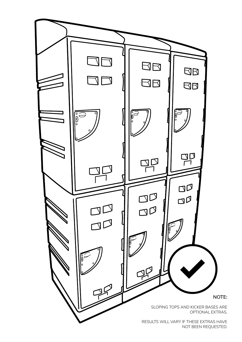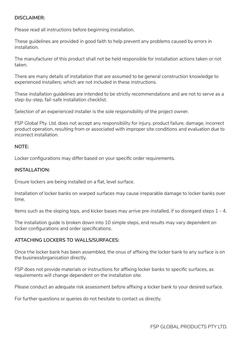#### **DISCLAIMER:**

Please read all instructions before beginning installation.

These guidelines are provided in good faith to help prevent any problems caused by errors in installation.

The manufacturer of this product shall not be held responsible for installation actions taken or not taken.

There are many details of installation that are assumed to be general construction knowledge to experienced installers; which are not included in these instructions.

These installation guidelines are intended to be strictly recommendations and are not to serve as a step-by-step, fail-safe installation checklist.

Selection of an experienced installer is the sole responsibility of the project owner.

FSP Global Pty. Ltd. does not accept any responsibility for injury, product failure, damage, incorrect product operation, resulting from or associated with improper site conditions and evaluation due to incorrect installation.

#### **NOTE:**

Locker configurations may differ based on your specific order requirements.

#### **INSTALLATION:**

Ensure lockers are being installed on a flat, level surface.

Installation of locker banks on warped surfaces may cause irreparable damage to locker banks over time.

Items such as the sloping tops, and kicker bases may arrive pre-installed, if so disregard steps 1 - 4.

The installation guide is broken down into 10 simple steps, end results may vary dependent on locker configurations and order specifications.

#### **ATTACHING LOCKERS TO WALLS/SURFACES:**

Once the locker bank has been assembled, the onus of affixing the locker bank to any surface is on the business/organisation directly.

FSP does not provide materials or instructions for affixing locker banks to specific surfaces, as requirements will change dependent on the installation site.

Please conduct an adequate risk assessment before affixing a locker bank to your desired surface.

For further questions or queries do not hesitate to contact us directly.